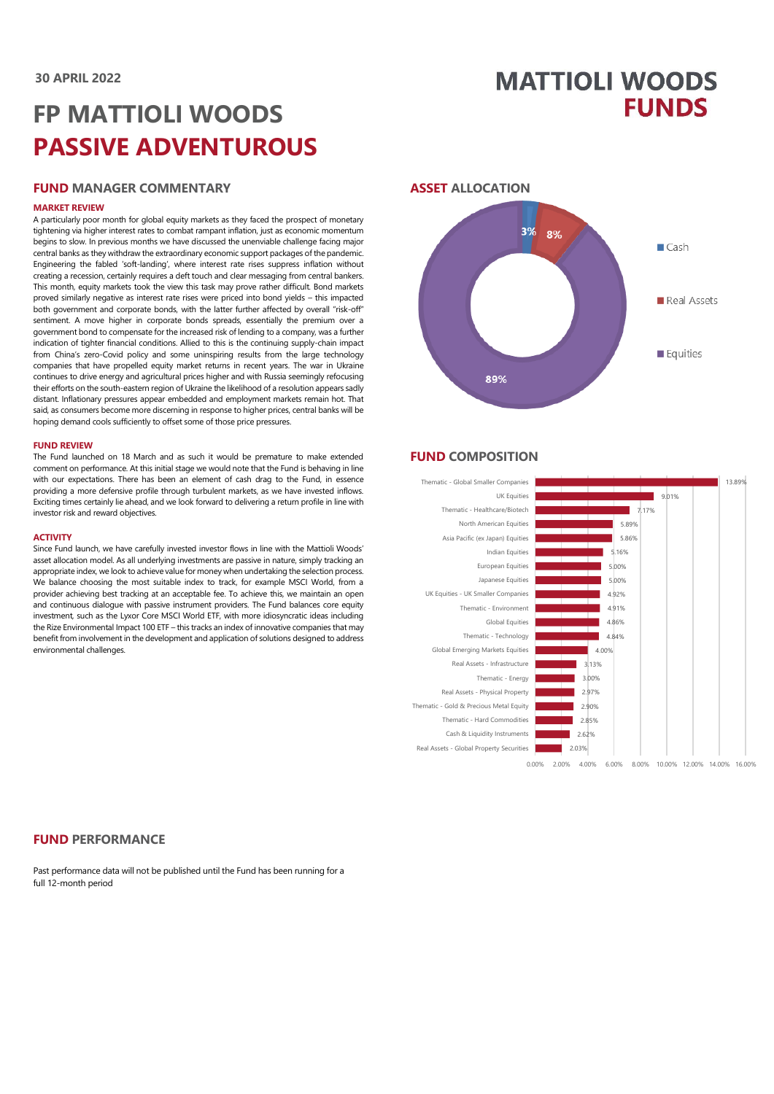## **MATTIOLI WOODS FUNDS**

# **FP MATTIOLI WOODS PASSIVE ADVENTUROUS**

## **FUND MANAGER COMMENTARY**

#### **MARKET REVIEW**

A particularly poor month for global equity markets as they faced the prospect of monetary tightening via higher interest rates to combat rampant inflation, just as economic momentum begins to slow. In previous months we have discussed the unenviable challenge facing major central banks as they withdraw the extraordinary economic support packages of the pandemic. Engineering the fabled 'soft-landing', where interest rate rises suppress inflation without creating a recession, certainly requires a deft touch and clear messaging from central bankers. This month, equity markets took the view this task may prove rather difficult. Bond markets proved similarly negative as interest rate rises were priced into bond yields – this impacted both government and corporate bonds, with the latter further affected by overall "risk-off" sentiment. A move higher in corporate bonds spreads, essentially the premium over a government bond to compensate for the increased risk of lending to a company, was a further indication of tighter financial conditions. Allied to this is the continuing supply-chain impact from China's zero-Covid policy and some uninspiring results from the large technology companies that have propelled equity market returns in recent years. The war in Ukraine continues to drive energy and agricultural prices higher and with Russia seemingly refocusing their efforts on the south-eastern region of Ukraine the likelihood of a resolution appears sadly distant. Inflationary pressures appear embedded and employment markets remain hot. That said, as consumers become more discerning in response to higher prices, central banks will be hoping demand cools sufficiently to offset some of those price pressures.

#### **FUND REVIEW**

The Fund launched on 18 March and as such it would be premature to make extended comment on performance. At this initial stage we would note that the Fund is behaving in line with our expectations. There has been an element of cash drag to the Fund, in essence providing a more defensive profile through turbulent markets, as we have invested inflows. Exciting times certainly lie ahead, and we look forward to delivering a return profile in line with investor risk and reward objectives.

#### **ACTIVITY**

Since Fund launch, we have carefully invested investor flows in line with the Mattioli Woods' asset allocation model. As all underlying investments are passive in nature, simply tracking an appropriate index, we look to achieve value for money when undertaking the selection process. We balance choosing the most suitable index to track, for example MSCI World, from a provider achieving best tracking at an acceptable fee. To achieve this, we maintain an open and continuous dialogue with passive instrument providers. The Fund balances core equity investment, such as the Lyxor Core MSCI World ETF, with more idiosyncratic ideas including the Rize Environmental Impact 100 ETF – this tracks an index of innovative companies that may benefit from involvement in the development and application of solutions designed to address environmental challenges.



#### **FUND COMPOSITION**



#### **FUND PERFORMANCE**

Past performance data will not be published until the Fund has been running for a full 12-month period